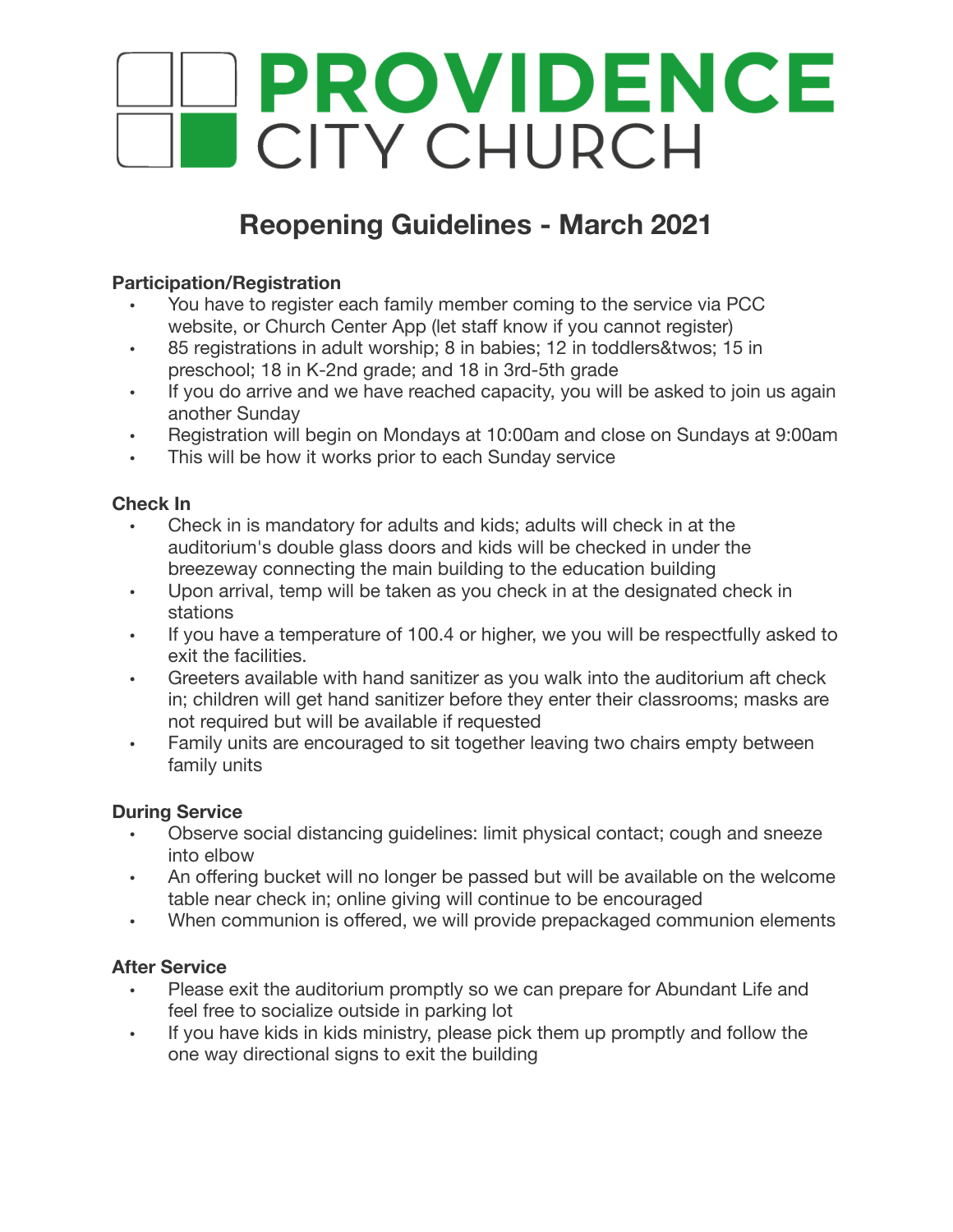

# **Reopening Guidelines - March 2021**

## **Participation/Registration**

- You have to register each family member coming to the service via PCC website, or Church Center App (let staff know if you cannot register)
- 85 registrations in adult worship; 8 in babies; 12 in toddlers&twos; 15 in preschool; 18 in K-2nd grade; and 18 in 3rd-5th grade
- If you do arrive and we have reached capacity, you will be asked to join us again another Sunday
- Registration will begin on Mondays at 10:00am and close on Sundays at 9:00am
- This will be how it works prior to each Sunday service

## **Check In**

- Check in is mandatory for adults and kids; adults will check in at the auditorium's double glass doors and kids will be checked in under the breezeway connecting the main building to the education building
- Upon arrival, temp will be taken as you check in at the designated check in stations
- If you have a temperature of 100.4 or higher, we you will be respectfully asked to exit the facilities.
- Greeters available with hand sanitizer as you walk into the auditorium aft check in; children will get hand sanitizer before they enter their classrooms; masks are not required but will be available if requested
- Family units are encouraged to sit together leaving two chairs empty between family units

## **During Service**

- Observe social distancing guidelines: limit physical contact; cough and sneeze into elbow
- An offering bucket will no longer be passed but will be available on the welcome table near check in; online giving will continue to be encouraged
- When communion is offered, we will provide prepackaged communion elements

## **After Service**

- Please exit the auditorium promptly so we can prepare for Abundant Life and feel free to socialize outside in parking lot
- If you have kids in kids ministry, please pick them up promptly and follow the one way directional signs to exit the building